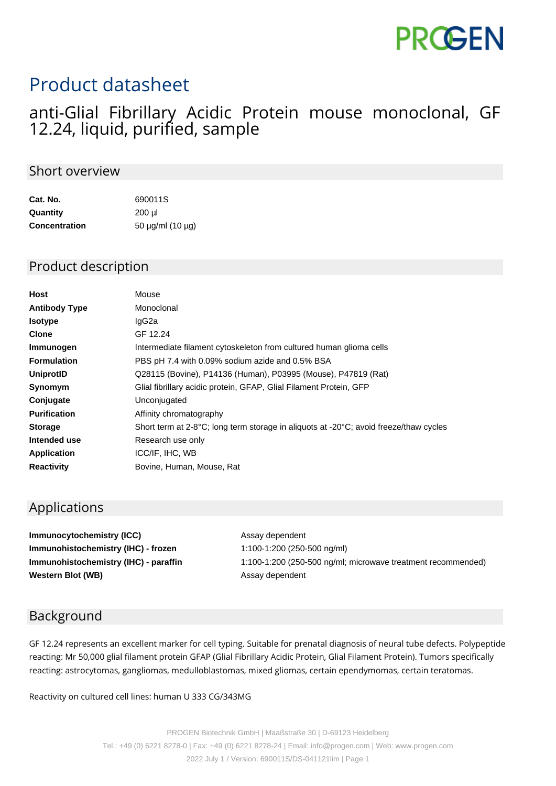# **PROGEN**

## Product datasheet

### anti-Glial Fibrillary Acidic Protein mouse monoclonal, GF 12.24, liquid, purified, sample

#### Short overview

| Cat. No.             | 690011S<br>200 ul |  |
|----------------------|-------------------|--|
| Quantity             |                   |  |
| <b>Concentration</b> | 50 µg/ml (10 µg)  |  |

#### Product description

| <b>Host</b>          | Mouse                                                                                 |
|----------------------|---------------------------------------------------------------------------------------|
| <b>Antibody Type</b> | Monoclonal                                                                            |
| <b>Isotype</b>       | lgG2a                                                                                 |
| <b>Clone</b>         | GF 12.24                                                                              |
| Immunogen            | Intermediate filament cytoskeleton from cultured human glioma cells                   |
| <b>Formulation</b>   | PBS pH 7.4 with 0.09% sodium azide and 0.5% BSA                                       |
| UniprotID            | Q28115 (Bovine), P14136 (Human), P03995 (Mouse), P47819 (Rat)                         |
| Synomym              | Glial fibrillary acidic protein, GFAP, Glial Filament Protein, GFP                    |
| Conjugate            | Unconjugated                                                                          |
| <b>Purification</b>  | Affinity chromatography                                                               |
| <b>Storage</b>       | Short term at 2-8°C; long term storage in aliquots at -20°C; avoid freeze/thaw cycles |
| Intended use         | Research use only                                                                     |
| <b>Application</b>   | ICC/IF, IHC, WB                                                                       |
| <b>Reactivity</b>    | Bovine, Human, Mouse, Rat                                                             |

#### Applications

**Immunocytochemistry (ICC)** Assay dependent **Immunohistochemistry (IHC) - frozen** 1:100-1:200 (250-500 ng/ml) **Western Blot (WB)** Assay dependent

**Immunohistochemistry (IHC) - paraffin** 1:100-1:200 (250-500 ng/ml; microwave treatment recommended)

#### Background

GF 12.24 represents an excellent marker for cell typing. Suitable for prenatal diagnosis of neural tube defects. Polypeptide reacting: Mr 50,000 glial filament protein GFAP (Glial Fibrillary Acidic Protein, Glial Filament Protein). Tumors specifically reacting: astrocytomas, gangliomas, medulloblastomas, mixed gliomas, certain ependymomas, certain teratomas.

Reactivity on cultured cell lines: human U 333 CG/343MG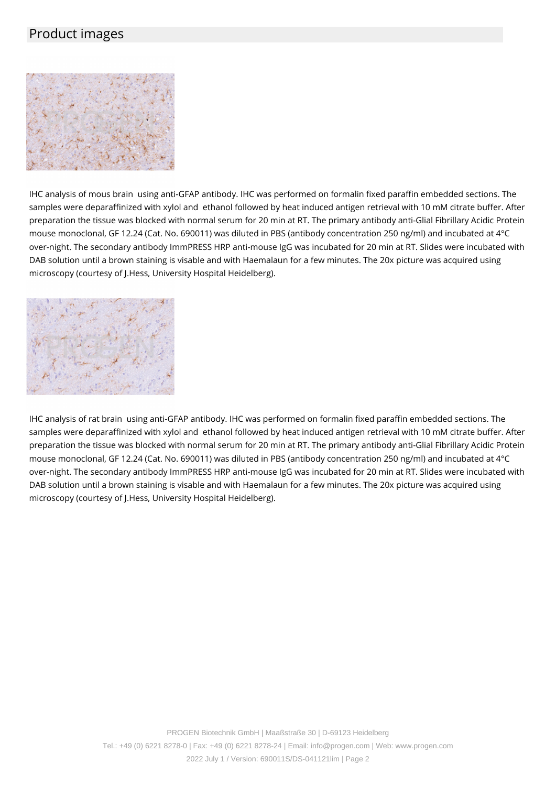#### Product images



IHC analysis of mous brain using anti-GFAP antibody. IHC was performed on formalin fixed paraffin embedded sections. The samples were deparaffinized with xylol and ethanol followed by heat induced antigen retrieval with 10 mM citrate buffer. After preparation the tissue was blocked with normal serum for 20 min at RT. The primary antibody anti-Glial Fibrillary Acidic Protein mouse monoclonal, GF 12.24 (Cat. No. 690011) was diluted in PBS (antibody concentration 250 ng/ml) and incubated at 4°C over-night. The secondary antibody ImmPRESS HRP anti-mouse IgG was incubated for 20 min at RT. Slides were incubated with DAB solution until a brown staining is visable and with Haemalaun for a few minutes. The 20x picture was acquired using microscopy (courtesy of J.Hess, University Hospital Heidelberg).



IHC analysis of rat brain using anti-GFAP antibody. IHC was performed on formalin fixed paraffin embedded sections. The samples were deparaffinized with xylol and ethanol followed by heat induced antigen retrieval with 10 mM citrate buffer. After preparation the tissue was blocked with normal serum for 20 min at RT. The primary antibody anti-Glial Fibrillary Acidic Protein mouse monoclonal, GF 12.24 (Cat. No. 690011) was diluted in PBS (antibody concentration 250 ng/ml) and incubated at 4°C over-night. The secondary antibody ImmPRESS HRP anti-mouse IgG was incubated for 20 min at RT. Slides were incubated with DAB solution until a brown staining is visable and with Haemalaun for a few minutes. The 20x picture was acquired using microscopy (courtesy of J.Hess, University Hospital Heidelberg).